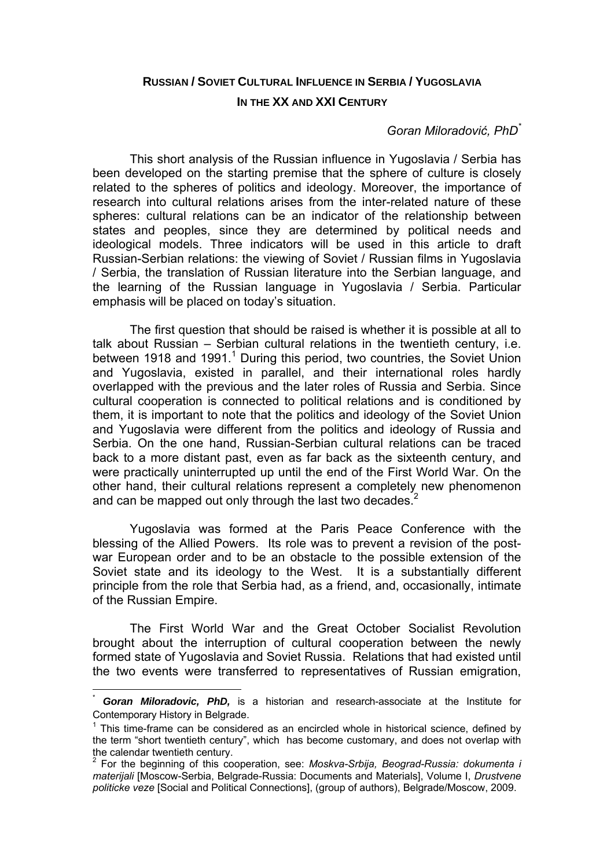# **RUSSIAN / SOVIET CULTURAL INFLUENCE IN SERBIA / YUGOSLAVIA IN THE XX AND XXI CENTURY**

# *Goran Miloradović, PhD\**

This short analysis of the Russian influence in Yugoslavia / Serbia has been developed on the starting premise that the sphere of culture is closely related to the spheres of politics and ideology. Moreover, the importance of research into cultural relations arises from the inter-related nature of these spheres: cultural relations can be an indicator of the relationship between states and peoples, since they are determined by political needs and ideological models. Three indicators will be used in this article to draft Russian-Serbian relations: the viewing of Soviet / Russian films in Yugoslavia / Serbia, the translation of Russian literature into the Serbian language, and the learning of the Russian language in Yugoslavia / Serbia. Particular emphasis will be placed on today's situation.

The first question that should be raised is whether it is possible at all to talk about Russian – Serbian cultural relations in the twentieth century, i.e. between 1918 and 1991.<sup>1</sup> During this period, two countries, the Soviet Union and Yugoslavia, existed in parallel, and their international roles hardly overlapped with the previous and the later roles of Russia and Serbia. Since cultural cooperation is connected to political relations and is conditioned by them, it is important to note that the politics and ideology of the Soviet Union and Yugoslavia were different from the politics and ideology of Russia and Serbia. On the one hand, Russian-Serbian cultural relations can be traced back to a more distant past, even as far back as the sixteenth century, and were practically uninterrupted up until the end of the First World War. On the other hand, their cultural relations represent a completely new phenomenon and can be mapped out only through the last two decades.<sup>2</sup>

Yugoslavia was formed at the Paris Peace Conference with the blessing of the Allied Powers. Its role was to prevent a revision of the postwar European order and to be an obstacle to the possible extension of the Soviet state and its ideology to the West. It is a substantially different principle from the role that Serbia had, as a friend, and, occasionally, intimate of the Russian Empire.

The First World War and the Great October Socialist Revolution brought about the interruption of cultural cooperation between the newly formed state of Yugoslavia and Soviet Russia. Relations that had existed until the two events were transferred to representatives of Russian emigration,

**Goran Miloradovic, PhD,** is a historian and research-associate at the Institute for Contemporary History in Belgrade.

 $1$  This time-frame can be considered as an encircled whole in historical science, defined by the term "short twentieth century", which has become customary, and does not overlap with the calendar twentieth century.

<sup>2</sup> For the beginning of this cooperation, see: *Moskva-Srbija, Beograd-Russia: dokumenta i materijali* [Moscow-Serbia, Belgrade-Russia: Documents and Materials], Volume I, *Drustvene politicke veze* [Social and Political Connections], (group of authors), Belgrade/Moscow, 2009.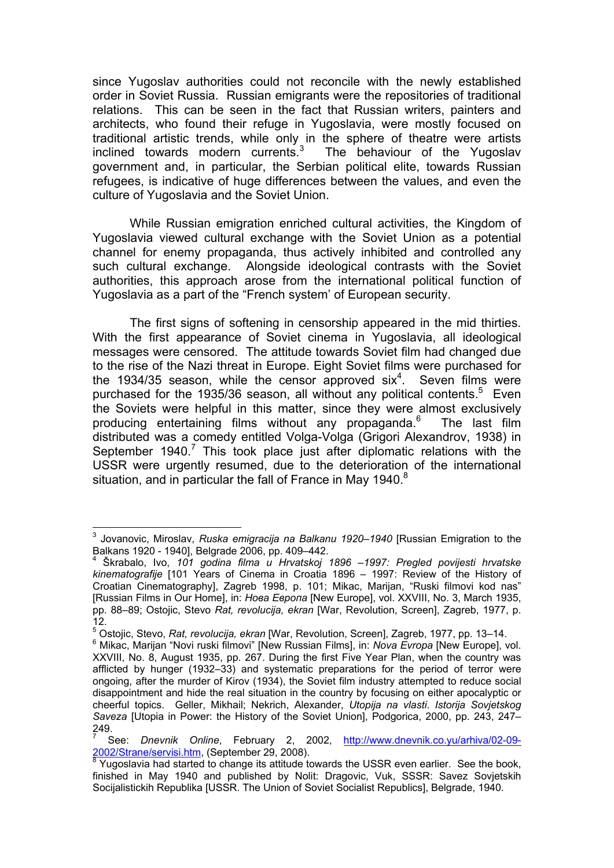since Yugoslav authorities could not reconcile with the newly established order in Soviet Russia. Russian emigrants were the repositories of traditional relations. This can be seen in the fact that Russian writers, painters and architects, who found their refuge in Yugoslavia, were mostly focused on traditional artistic trends, while only in the sphere of theatre were artists inclined towards modern currents.<sup>3</sup> The behaviour of the Yugoslav government and, in particular, the Serbian political elite, towards Russian refugees, is indicative of huge differences between the values, and even the culture of Yugoslavia and the Soviet Union.

While Russian emigration enriched cultural activities, the Kingdom of Yugoslavia viewed cultural exchange with the Soviet Union as a potential channel for enemy propaganda, thus actively inhibited and controlled any such cultural exchange. Alongside ideological contrasts with the Soviet authorities, this approach arose from the international political function of Yugoslavia as a part of the "French system' of European security.

The first signs of softening in censorship appeared in the mid thirties. With the first appearance of Soviet cinema in Yugoslavia, all ideological messages were censored. The attitude towards Soviet film had changed due to the rise of the Nazi threat in Europe. Eight Soviet films were purchased for the 1934/35 season, while the censor approved six<sup>4</sup>. Seven films were purchased for the 1935/36 season, all without any political contents.<sup>5</sup> Even the Soviets were helpful in this matter, since they were almost exclusively producing entertaining films without any propaganda.<sup>6</sup> The last film distributed was a comedy entitled Volga-Volga (Grigori Alexandrov, 1938) in September  $1940$ .<sup>7</sup> This took place just after diplomatic relations with the USSR were urgently resumed, due to the deterioration of the international situation, and in particular the fall of France in May 1940. $8$ 

 3 Jovanovic, Miroslav, *Ruska emigracija na Balkanu 1920–1940* [Russian Emigration to the Balkans 1920 - 1940], Belgrade 2006, pp. 409–442.

<sup>4</sup> Škrabalo, Ivo, *101 godina filma u Hrvatskoj 1896 –1997: Pregled povijesti hrvatske kinematografije* [101 Years of Cinema in Croatia 1896 – 1997: Review of the History of Croatian Cinematography], Zagreb 1998, p. 101; Mikac, Marijan, "Ruski filmovi kod nas" [Russian Films in Our Home], in: *Нова Европа* [New Europe], vol. XXVIII, No. 3, March 1935, pp. 88–89; Ostojic, Stevo *Rat, revolucija, ekran* [War, Revolution, Screen], Zagreb, 1977, p. 12.

<sup>&</sup>lt;sup>5</sup> Ostojic, Stevo, *Rat, revolucija, ekran* [War, Revolution, Screen], Zagreb, 1977, pp. 13–14.<br><sup>6</sup> Mikee, Merijan "Novi ruski filmovi" [Novi Russian Filmo], in: Make Furena [Now Europe], v

<sup>&</sup>lt;sup>6</sup> Mikac. Marijan "Novi ruski filmovi" [New Russian Films], in: *Nova Evropa* [New Europe], vol. XXVIII, No. 8, August 1935, pp. 267. During the first Five Year Plan, when the country was afflicted by hunger (1932–33) and systematic preparations for the period of terror were ongoing, after the murder of Kirov (1934), the Soviet film industry attempted to reduce social disappointment and hide the real situation in the country by focusing on either apocalyptic or cheerful topics. Geller, Mikhail; Nekrich, Alexander, *Utopija na vlasti*. *Istorija Sovjetskog Saveza* [Utopia in Power: the History of the Soviet Union], Podgorica, 2000, pp. 243, 247– 249.

<sup>7</sup> See: *Dnevnik Online*, February 2, 2002, http://www.dnevnik.co.yu/arhiva/02-09-

<sup>2002/</sup>Strane/servisi.htm, (September 29, 2008).<br><sup>8</sup> Yugoslavia had started to change its attitude towards the USSR even earlier. See the book, finished in May 1940 and published by Nolit: Dragovic, Vuk, SSSR: Savez Sovjetskih Socijalistickih Republika [USSR. The Union of Soviet Socialist Republics], Belgrade, 1940.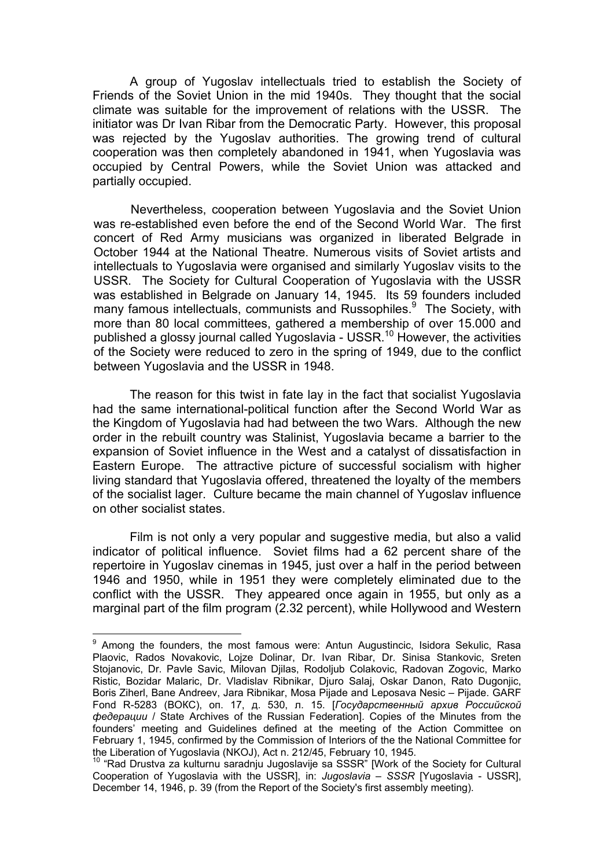A group of Yugoslav intellectuals tried to establish the Society of Friends of the Soviet Union in the mid 1940s. They thought that the social climate was suitable for the improvement of relations with the USSR. The initiator was Dr Ivan Ribar from the Democratic Party. However, this proposal was rejected by the Yugoslav authorities. The growing trend of cultural cooperation was then completely abandoned in 1941, when Yugoslavia was occupied by Central Powers, while the Soviet Union was attacked and partially occupied.

Nevertheless, cooperation between Yugoslavia and the Soviet Union was re-established even before the end of the Second World War. The first concert of Red Army musicians was organized in liberated Belgrade in October 1944 at the National Theatre. Numerous visits of Soviet artists and intellectuals to Yugoslavia were organised and similarly Yugoslav visits to the USSR. The Society for Cultural Cooperation of Yugoslavia with the USSR was established in Belgrade on January 14, 1945. Its 59 founders included many famous intellectuals, communists and Russophiles.<sup>9</sup> The Society, with more than 80 local committees, gathered a membership of over 15.000 and published a glossy journal called Yugoslavia - USSR.<sup>10</sup> However, the activities of the Society were reduced to zero in the spring of 1949, due to the conflict between Yugoslavia and the USSR in 1948.

The reason for this twist in fate lay in the fact that socialist Yugoslavia had the same international-political function after the Second World War as the Kingdom of Yugoslavia had had between the two Wars. Although the new order in the rebuilt country was Stalinist, Yugoslavia became a barrier to the expansion of Soviet influence in the West and a catalyst of dissatisfaction in Eastern Europe. The attractive picture of successful socialism with higher living standard that Yugoslavia offered, threatened the loyalty of the members of the socialist lager. Culture became the main channel of Yugoslav influence on other socialist states.

Film is not only a very popular and suggestive media, but also a valid indicator of political influence. Soviet films had a 62 percent share of the repertoire in Yugoslav cinemas in 1945, just over a half in the period between 1946 and 1950, while in 1951 they were completely eliminated due to the conflict with the USSR. They appeared once again in 1955, but only as a marginal part of the film program (2.32 percent), while Hollywood and Western

 9 Among the founders, the most famous were: Antun Augustincic, Isidora Sekulic, Rasa Plaovic, Rados Novakovic, Lojze Dolinar, Dr. Ivan Ribar, Dr. Sinisa Stankovic, Sreten Stojanovic, Dr. Pavle Savic, Milovan Djilas, Rodoljub Colakovic, Radovan Zogovic, Marko Ristic, Bozidar Malaric, Dr. Vladislav Ribnikar, Djuro Salaj, Oskar Danon, Rato Dugonjic, Boris Ziherl, Bane Andreev, Jara Ribnikar, Mosa Pijade and Leposava Nesic – Pijade. GARF Fond R-5283 (ВОКС), оп. 17, д. 530, л. 15. [*Государственный архив Российской федерации* / State Archives of the Russian Federation]. Copies of the Minutes from the founders' meeting and Guidelines defined at the meeting of the Action Committee on February 1, 1945, confirmed by the Commission of Interiors of the the National Committee for the Liberation of Yugoslavia (NKOJ), Act n. 212/45, February 10, 1945.

the Liberation of Yugoslavia (NROS), The Integral sa SSSR<sup>"</sup> [Work of the Society for Cultural Cooperation of Yugoslavia with the USSR], in: *Jugoslavia – SSSR* [Yugoslavia - USSR], December 14, 1946, p. 39 (from the Report of the Society's first assembly meeting).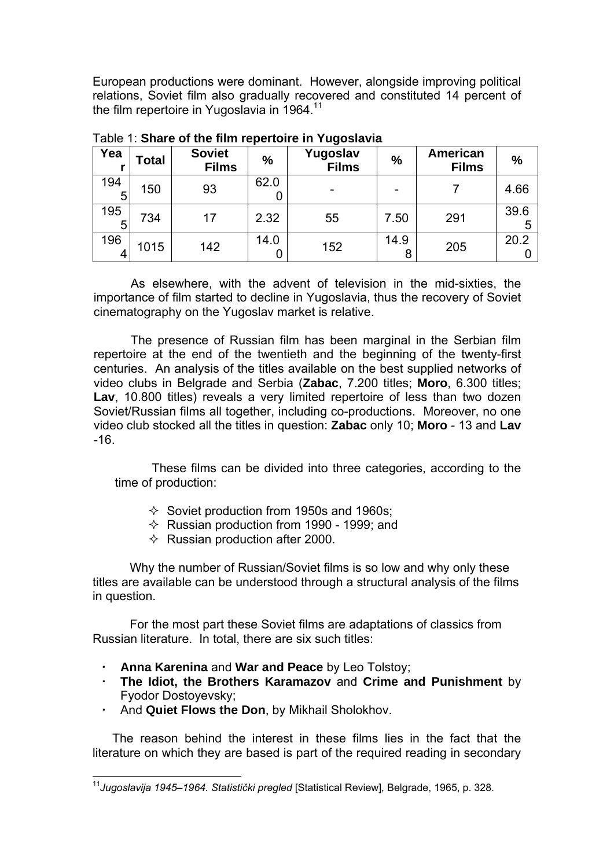European productions were dominant. However, alongside improving political relations, Soviet film also gradually recovered and constituted 14 percent of the film repertoire in Yugoslavia in 1964.<sup>11</sup>

| Yea      | Total | <b>Soviet</b><br><b>Films</b> | $\frac{0}{0}$ | Yugoslav<br><b>Films</b> | %    | American<br><b>Films</b> | $\frac{0}{0}$ |
|----------|-------|-------------------------------|---------------|--------------------------|------|--------------------------|---------------|
| 194<br>5 | 150   | 93                            | 62.0          |                          |      |                          | 4.66          |
| 195<br>5 | 734   | 17                            | 2.32          | 55                       | 7.50 | 291                      | 39.6<br>5     |
| 196      | 1015  | 142                           | 14.0          | 152                      | 14.9 | 205                      | 20.2          |

Table 1: **Share of the film repertoire in Yugoslavia**

As elsewhere, with the advent of television in the mid-sixties, the importance of film started to decline in Yugoslavia, thus the recovery of Soviet cinematography on the Yugoslav market is relative.

The presence of Russian film has been marginal in the Serbian film repertoire at the end of the twentieth and the beginning of the twenty-first centuries. An analysis of the titles available on the best supplied networks of video clubs in Belgrade and Serbia (**Zabac**, 7.200 titles; **Moro**, 6.300 titles; **Lav**, 10.800 titles) reveals a very limited repertoire of less than two dozen Soviet/Russian films all together, including co-productions. Moreover, no one video club stocked all the titles in question: **Zabac** only 10; **Moro** - 13 and **Lav** -16.

These films can be divided into three categories, according to the time of production:

- $\Diamond$  Soviet production from 1950s and 1960s;
- $\Diamond$  Russian production from 1990 1999; and
- $\Diamond$  Russian production after 2000.

Why the number of Russian/Soviet films is so low and why only these titles are available can be understood through a structural analysis of the films in question.

For the most part these Soviet films are adaptations of classics from Russian literature. In total, there are six such titles:

- **Anna Karenina** and **War and Peace** by Leo Tolstoy;
- **The Idiot, the Brothers Karamazov** and **Crime and Punishment** by Fyodor Dostoyevsky;
- And **Quiet Flows the Don**, by Mikhail Sholokhov.

 $\overline{a}$ 

The reason behind the interest in these films lies in the fact that the literature on which they are based is part of the required reading in secondary

<sup>11</sup>*Jugoslavija 1945–1964. Statistički pregled* [Statistical Review]*,* Belgrade, 1965, p. 328.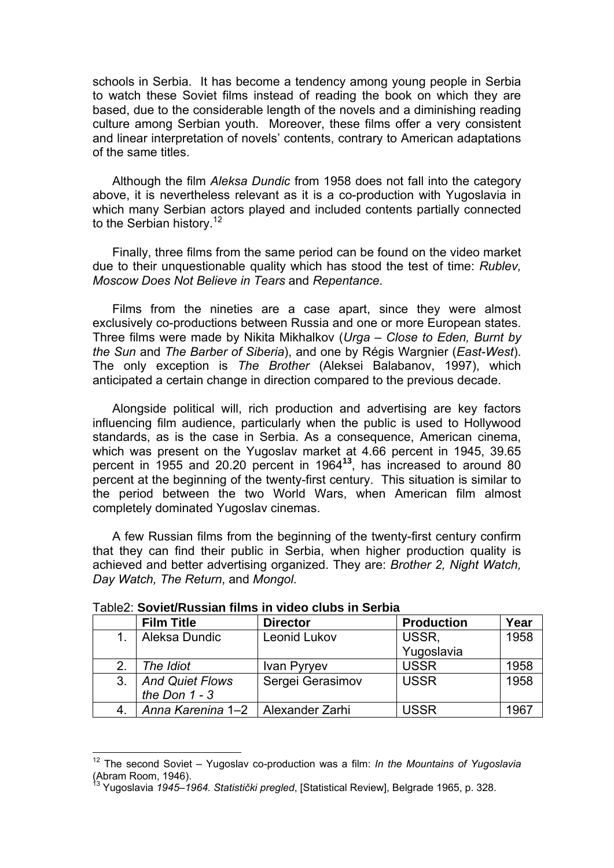schools in Serbia. It has become a tendency among young people in Serbia to watch these Soviet films instead of reading the book on which they are based, due to the considerable length of the novels and a diminishing reading culture among Serbian youth. Moreover, these films offer a very consistent and linear interpretation of novels' contents, contrary to American adaptations of the same titles.

Although the film *Aleksa Dundic* from 1958 does not fall into the category above, it is nevertheless relevant as it is a co-production with Yugoslavia in which many Serbian actors played and included contents partially connected to the Serbian history.<sup>12</sup>

Finally, three films from the same period can be found on the video market due to their unquestionable quality which has stood the test of time: *Rublev, Moscow Does Not Believe in Tears* and *Repentance*.

Films from the nineties are a case apart, since they were almost exclusively co-productions between Russia and one or more European states. Three films were made by Nikita Mikhalkov (*Urga – Close to Eden, Burnt by the Sun* and *The Barber of Siberia*), and one by Régis Wargnier (*East-West*). The only exception is *The Brother* (Aleksei Balabanov, 1997), which anticipated a certain change in direction compared to the previous decade.

Alongside political will, rich production and advertising are key factors influencing film audience, particularly when the public is used to Hollywood standards, as is the case in Serbia. As a consequence, American cinema, which was present on the Yugoslav market at 4.66 percent in 1945, 39.65 percent in 1955 and 20.20 percent in 1964**<sup>13</sup>**, has increased to around 80 percent at the beginning of the twenty-first century. This situation is similar to the period between the two World Wars, when American film almost completely dominated Yugoslav cinemas.

A few Russian films from the beginning of the twenty-first century confirm that they can find their public in Serbia, when higher production quality is achieved and better advertising organized. They are: *Brother 2, Night Watch, Day Watch, The Return*, and *Mongol*.

|               | TUDIOL. YY MYNINGYYKII HIIIIY III MWYY YIMMY III YYIMIA |                  |                   |      |  |  |  |
|---------------|---------------------------------------------------------|------------------|-------------------|------|--|--|--|
|               | <b>Film Title</b>                                       | <b>Director</b>  | <b>Production</b> | Year |  |  |  |
|               | Aleksa Dundic                                           | Leonid Lukov     | USSR,             | 1958 |  |  |  |
|               |                                                         |                  | Yugoslavia        |      |  |  |  |
| $\mathcal{P}$ | The Idiot                                               | Ivan Pyryev      | <b>USSR</b>       | 1958 |  |  |  |
| 3.            | <b>And Quiet Flows</b>                                  | Sergei Gerasimov | <b>USSR</b>       | 1958 |  |  |  |
|               | the Don $1 - 3$                                         |                  |                   |      |  |  |  |
|               | Anna Karenina 1–2                                       | Alexander Zarhi  | <b>USSR</b>       | 1967 |  |  |  |

Table2: **Soviet/Russian films in video clubs in Serbia** 

<sup>12</sup> The second Soviet – Yugoslav co-production was a film: *In the Mountains of Yugoslavia* (Abram Room, 1946).

<sup>13</sup> Yugoslavia *1945–1964. Statistički pregled*, [Statistical Review], Belgrade 1965, p. 328.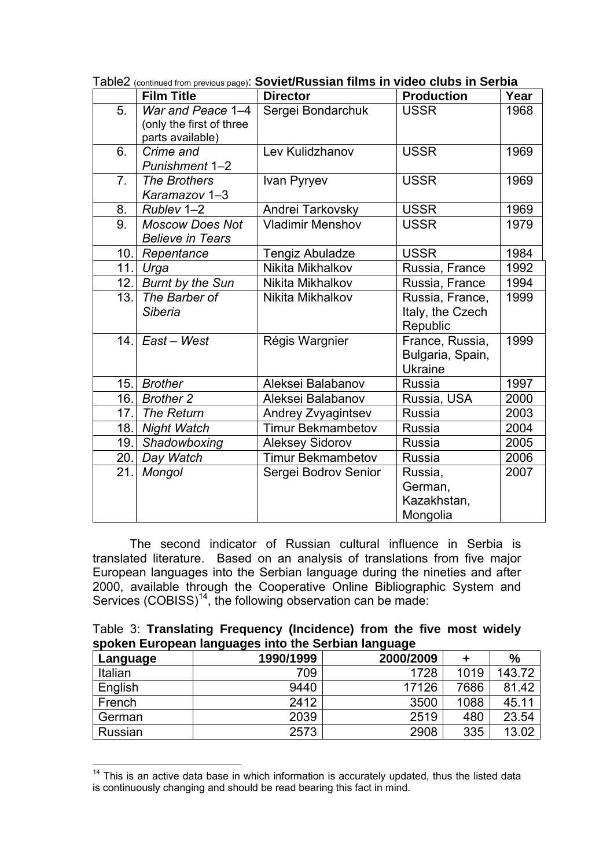|                | <b>Film Title</b>                                                 | <b>Director</b>          | <b>Production</b>                                     | Year |
|----------------|-------------------------------------------------------------------|--------------------------|-------------------------------------------------------|------|
| 5.             | War and Peace 1-4<br>(only the first of three<br>parts available) | Sergei Bondarchuk        | <b>USSR</b>                                           | 1968 |
| 6.             | Crime and<br>Punishment 1-2                                       | Lev Kulidzhanov          | <b>USSR</b>                                           | 1969 |
| 7 <sub>1</sub> | The Brothers<br>Karamazov 1-3                                     | Ivan Pyryev              | <b>USSR</b>                                           | 1969 |
| 8.             | Rublev 1-2                                                        | Andrei Tarkovsky         | <b>USSR</b>                                           | 1969 |
| 9.             | <b>Moscow Does Not</b><br><b>Believe in Tears</b>                 | <b>Vladimir Menshov</b>  | <b>USSR</b>                                           | 1979 |
| 10.            | Repentance                                                        | <b>Tengiz Abuladze</b>   | <b>USSR</b>                                           | 1984 |
| 11.            | Urga                                                              | Nikita Mikhalkov         | Russia, France                                        | 1992 |
| 12.            | <b>Burnt by the Sun</b>                                           | Nikita Mikhalkov         | Russia, France                                        | 1994 |
| 13.            | The Barber of<br><b>Siberia</b>                                   | Nikita Mikhalkov         | Russia, France,<br>Italy, the Czech<br>Republic       | 1999 |
|                | 14. $East - West$                                                 | Régis Wargnier           | France, Russia,<br>Bulgaria, Spain,<br><b>Ukraine</b> | 1999 |
| 15.            | <b>Brother</b>                                                    | Aleksei Balabanov        | Russia                                                | 1997 |
| 16.            | <b>Brother 2</b>                                                  | Aleksei Balabanov        | Russia, USA                                           | 2000 |
| 17.            | The Return                                                        | Andrey Zvyagintsev       | Russia                                                | 2003 |
| 18.            | <b>Night Watch</b>                                                | <b>Timur Bekmambetov</b> | <b>Russia</b>                                         | 2004 |
| 19.            | Shadowboxing                                                      | <b>Aleksey Sidorov</b>   | Russia                                                | 2005 |
| 20.            | Day Watch                                                         | <b>Timur Bekmambetov</b> | Russia                                                | 2006 |
| 21.            | Mongol                                                            | Sergei Bodrov Senior     | Russia,<br>German,<br>Kazakhstan,<br>Mongolia         | 2007 |

Table2 (continued from previous page): **Soviet/Russian films in video clubs in Serbia** 

The second indicator of Russian cultural influence in Serbia is translated literature. Based on an analysis of translations from five major European languages into the Serbian language during the nineties and after 2000, available through the Cooperative Online Bibliographic System and Services (COBISS)<sup>14</sup>, the following observation can be made:

|  |  | Table 3: Translating Frequency (Incidence) from the five most widely |  |  |  |
|--|--|----------------------------------------------------------------------|--|--|--|
|  |  | spoken European languages into the Serbian language                  |  |  |  |

| Language | 1990/1999 | 2000/2009 |      | %      |
|----------|-----------|-----------|------|--------|
| Italian  | 709       | 1728      | 1019 | 143.72 |
| English  | 9440      | 17126     | 7686 | 81.42  |
| French   | 2412      | 3500      | 1088 | 45.11  |
| German   | 2039      | 2519      | 480  | 23.54  |
| Russian  | 2573      | 2908      | 335  | 13.02  |

 $14$  This is an active data base in which information is accurately updated, thus the listed data is continuously changing and should be read bearing this fact in mind.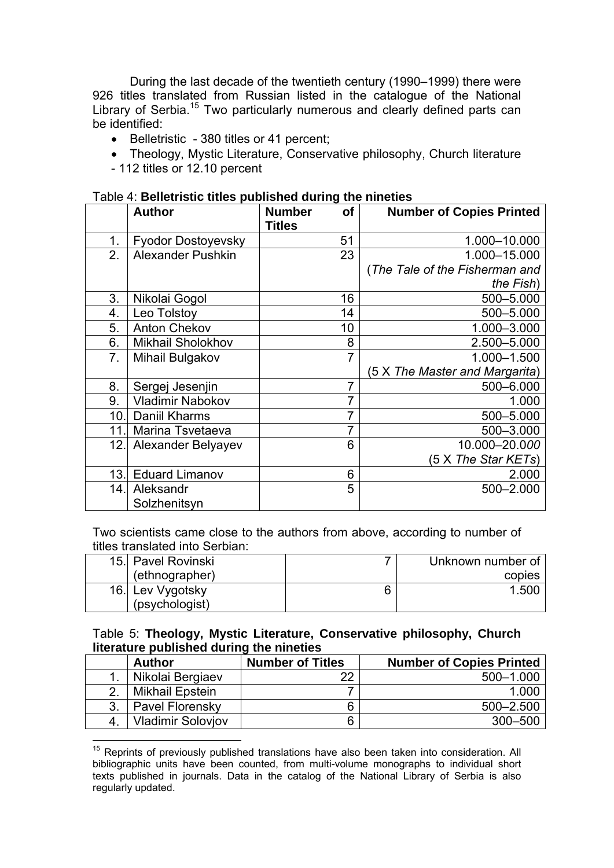During the last decade of the twentieth century (1990–1999) there were 926 titles translated from Russian listed in the catalogue of the National Library of Serbia.<sup>15</sup> Two particularly numerous and clearly defined parts can be identified:

- Belletristic 380 titles or 41 percent;
- Theology, Mystic Literature, Conservative philosophy, Church literature
- 112 titles or 12.10 percent

 $\overline{a}$ 

| ימטוס ה. שטווטנו וטנוס נונוסט פעוטווטווטע מערווויץ נווט וווווטנוסט |                           |                                      |                                 |  |  |
|--------------------------------------------------------------------|---------------------------|--------------------------------------|---------------------------------|--|--|
|                                                                    | <b>Author</b>             | of<br><b>Number</b><br><b>Titles</b> | <b>Number of Copies Printed</b> |  |  |
| 1.                                                                 | Fyodor Dostoyevsky        | 51                                   | 1.000-10.000                    |  |  |
| 2.                                                                 | <b>Alexander Pushkin</b>  | 23                                   | 1.000-15.000                    |  |  |
|                                                                    |                           |                                      | (The Tale of the Fisherman and  |  |  |
|                                                                    |                           |                                      | the Fish)                       |  |  |
| 3.                                                                 | Nikolai Gogol             | 16                                   | 500-5.000                       |  |  |
| 4.                                                                 | Leo Tolstoy               | 14                                   | 500-5.000                       |  |  |
| 5.                                                                 | <b>Anton Chekov</b>       | 10                                   | 1.000-3.000                     |  |  |
| 6.                                                                 | Mikhail Sholokhov         | 8                                    | 2.500-5.000                     |  |  |
| 7.                                                                 | Mihail Bulgakov           | $\overline{7}$                       | 1.000-1.500                     |  |  |
|                                                                    |                           |                                      | (5 X The Master and Margarita)  |  |  |
| 8.                                                                 | Sergej Jesenjin           | $\overline{7}$                       | 500-6.000                       |  |  |
| 9.                                                                 | <b>Vladimir Nabokov</b>   | 7                                    | 1.000                           |  |  |
| 10.                                                                | Daniil Kharms             | 7                                    | 500-5.000                       |  |  |
| 11.                                                                | Marina Tsvetaeva          | 7                                    | 500-3.000                       |  |  |
| 12.1                                                               | Alexander Belyayev        | 6                                    | 10.000-20.000                   |  |  |
|                                                                    |                           |                                      | (5 X The Star KETs)             |  |  |
| 13.1                                                               | <b>Eduard Limanov</b>     | 6                                    | 2.000                           |  |  |
| 14.                                                                | Aleksandr<br>Solzhenitsyn | 5                                    | 500-2.000                       |  |  |

# Table 4: **Belletristic titles published during the nineties**

Two scientists came close to the authors from above, according to number of titles translated into Serbian:

| 15. Pavel Rovinski | Unknown number of |
|--------------------|-------------------|
| (ethnographer)     | copies            |
| 16.  Lev Vygotsky  | 1.500             |
| (psychologist)     |                   |

#### Table 5: **Theology, Mystic Literature, Conservative philosophy, Church literature published during the nineties**

|    | <b>Author</b>            | <b>Number of Titles</b> | <b>Number of Copies Printed</b> |
|----|--------------------------|-------------------------|---------------------------------|
|    | Nikolai Bergiaev         | າາ                      | 500-1.000                       |
|    | Mikhail Epstein          |                         | 1.000                           |
| 3. | Pavel Florensky          |                         | $500 - 2.500$                   |
|    | <b>Vladimir Soloviov</b> |                         | 300-500                         |

 $15$  Reprints of previously published translations have also been taken into consideration. All bibliographic units have been counted, from multi-volume monographs to individual short texts published in journals. Data in the catalog of the National Library of Serbia is also regularly updated.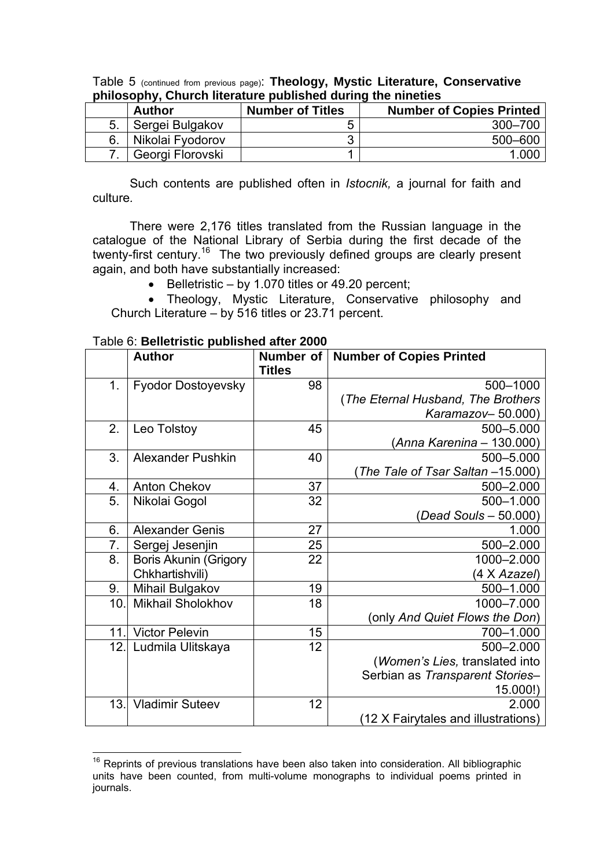|    | <b>Author</b>    | <b>Number of Titles</b> | <b>Number of Copies Printed</b> |  |  |  |  |
|----|------------------|-------------------------|---------------------------------|--|--|--|--|
| 5. | Sergei Bulgakov  |                         | 300-700                         |  |  |  |  |
|    | Nikolai Fyodorov |                         | 500-600                         |  |  |  |  |
|    | Georgi Florovski |                         | 1 NU                            |  |  |  |  |

Table 5 (continued from previous page): **Theology, Mystic Literature, Conservative philosophy, Church literature published during the nineties**

Such contents are published often in *Istocnik,* a journal for faith and culture*.* 

There were 2,176 titles translated from the Russian language in the catalogue of the National Library of Serbia during the first decade of the twenty-first century.<sup>16</sup> The two previously defined groups are clearly present again, and both have substantially increased:

• Belletristic – by 1.070 titles or 49.20 percent;

• Theology, Mystic Literature, Conservative philosophy and Church Literature – by 516 titles or 23.71 percent.

|      | <b>Author</b>                | Number of<br><b>Titles</b> | <b>Number of Copies Printed</b>     |
|------|------------------------------|----------------------------|-------------------------------------|
| 1.   | <b>Fyodor Dostoyevsky</b>    | 98                         | 500-1000                            |
|      |                              |                            | (The Eternal Husband, The Brothers  |
|      |                              |                            | Karamazov-50.000)                   |
| 2.   | Leo Tolstoy                  | 45                         | 500-5.000                           |
|      |                              |                            | (Anna Karenina - 130.000)           |
| 3.   | <b>Alexander Pushkin</b>     | 40                         | 500-5.000                           |
|      |                              |                            | The Tale of Tsar Saltan -15.000)    |
| 4.   | <b>Anton Chekov</b>          | 37                         | 500-2.000                           |
| 5.   | Nikolai Gogol                | 32                         | 500-1.000                           |
|      |                              |                            | (Dead Souls - 50.000)               |
| 6.   | <b>Alexander Genis</b>       | 27                         | 1.000                               |
| 7.   | Sergej Jesenjin              | 25                         | $500 - 2.000$                       |
| 8.   | <b>Boris Akunin (Grigory</b> | 22                         | 1000-2.000                          |
|      | Chkhartishvili)              |                            | (4 X Azazel)                        |
| 9.   | Mihail Bulgakov              | 19                         | 500-1.000                           |
| 10.1 | <b>Mikhail Sholokhov</b>     | 18                         | 1000-7.000                          |
|      |                              |                            | (only And Quiet Flows the Don)      |
| 11.  | <b>Victor Pelevin</b>        | 15                         | 700-1.000                           |
| 12.  | Ludmila Ulitskaya            | 12                         | 500-2.000                           |
|      |                              |                            | (Women's Lies, translated into      |
|      |                              |                            | Serbian as Transparent Stories-     |
|      |                              |                            | 15.000!)                            |
| 13.  | <b>Vladimir Suteev</b>       | 12                         | 2.000                               |
|      |                              |                            | (12 X Fairytales and illustrations) |

 $\overline{a}$ <sup>16</sup> Reprints of previous translations have been also taken into consideration. All bibliographic units have been counted, from multi-volume monographs to individual poems printed in journals.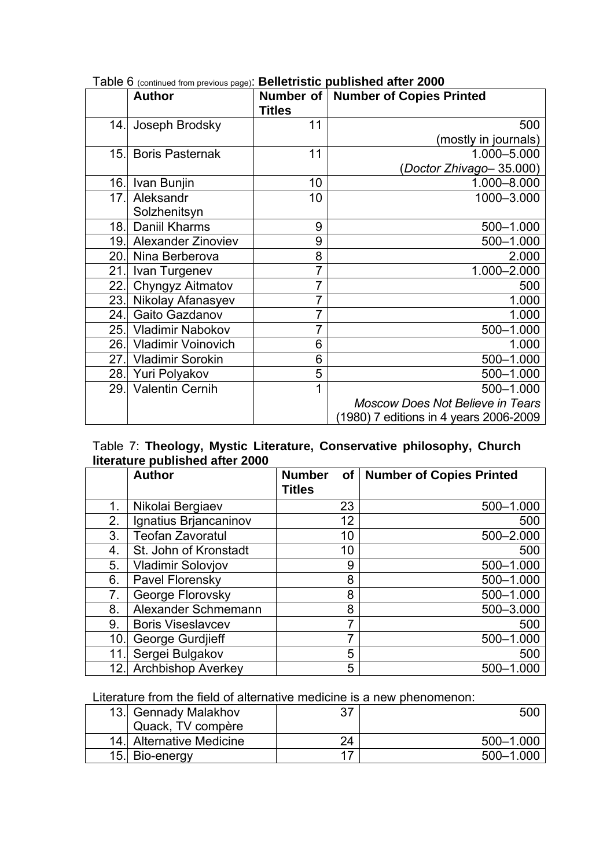|      | $1$ able $\sigma$ (commercition) previous page). Denotificity publicitied after zood<br><b>Author</b> |                | Number of   Number of Copies Printed    |
|------|-------------------------------------------------------------------------------------------------------|----------------|-----------------------------------------|
|      |                                                                                                       | <b>Titles</b>  |                                         |
| 14.  | Joseph Brodsky                                                                                        | 11             | 500                                     |
|      |                                                                                                       |                | (mostly in journals)                    |
| 15.1 | <b>Boris Pasternak</b>                                                                                | 11             | 1.000-5.000                             |
|      |                                                                                                       |                | (Doctor Zhivago-35.000)                 |
| 16.1 | Ivan Bunjin                                                                                           | 10             | 1.000-8.000                             |
| 17.  | Aleksandr                                                                                             | 10             | 1000-3.000                              |
|      | Solzhenitsyn                                                                                          |                |                                         |
| 18.  | Daniil Kharms                                                                                         | 9              | 500-1.000                               |
| 19.I | <b>Alexander Zinoviev</b>                                                                             | 9              | 500-1.000                               |
| 20.l | Nina Berberova                                                                                        | 8              | 2.000                                   |
| 21.  | Ivan Turgenev                                                                                         | 7              | 1.000-2.000                             |
| 22.  | Chyngyz Aitmatov                                                                                      | $\overline{7}$ | 500                                     |
| 23.  | Nikolay Afanasyev                                                                                     | $\overline{7}$ | 1.000                                   |
| 24.  | Gaito Gazdanov                                                                                        | 7              | 1.000                                   |
| 25.  | Vladimir Nabokov                                                                                      | 7              | 500-1.000                               |
| 26.  | <b>Vladimir Voinovich</b>                                                                             | 6              | 1.000                                   |
| 27.  | <b>Vladimir Sorokin</b>                                                                               | 6              | 500-1.000                               |
| 28.1 | Yuri Polyakov                                                                                         | 5              | 500-1.000                               |
|      | 29. Valentin Cernih                                                                                   | 1              | 500-1.000                               |
|      |                                                                                                       |                | <b>Moscow Does Not Believe in Tears</b> |
|      |                                                                                                       |                | (1980) 7 editions in 4 years 2006-2009  |

Table 6 (continued from previous page): **Belletristic published after 2000** 

# Table 7: **Theology, Mystic Literature, Conservative philosophy, Church literature published after 2000**

|     | <b>Author</b>             | <b>Number</b><br>Οf<br><b>Titles</b> | <b>Number of Copies Printed</b> |
|-----|---------------------------|--------------------------------------|---------------------------------|
| 1.  | Nikolai Bergiaev          | 23                                   | 500-1.000                       |
| 2.  | Ignatius Brjancaninov     | 12                                   | 500                             |
| 3.  | <b>Teofan Zavoratul</b>   | 10                                   | 500-2.000                       |
| 4.  | St. John of Kronstadt     | 10                                   | 500                             |
| 5.  | <b>Vladimir Solovjov</b>  | 9                                    | 500-1.000                       |
| 6.  | Pavel Florensky           | 8                                    | 500-1.000                       |
| 7.  | George Florovsky          | 8                                    | 500-1.000                       |
| 8.  | Alexander Schmemann       | 8                                    | 500-3.000                       |
| 9.  | <b>Boris Viseslavcev</b>  |                                      | 500                             |
| 10  | George Gurdjieff          |                                      | 500-1.000                       |
| 11  | Sergei Bulgakov           | 5                                    | 500                             |
| 12. | <b>Archbishop Averkey</b> | 5                                    | 500-1.000                       |

Literature from the field of alternative medicine is a new phenomenon:

| 13. Gennady Malakhov     | 37 | <b>500</b> |
|--------------------------|----|------------|
| Quack, TV compère        |    |            |
| 14. Alternative Medicine | 24 | 500-1.000  |
| 15. Bio-energy           |    | 500-1.000  |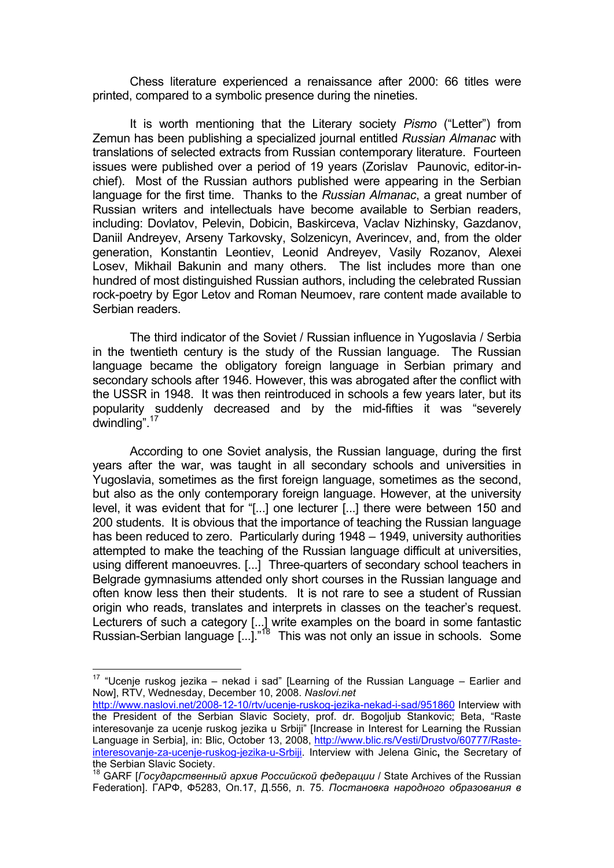Chess literature experienced a renaissance after 2000: 66 titles were printed, compared to a symbolic presence during the nineties.

It is worth mentioning that the Literary society *Pismo* ("Letter") from Zemun has been publishing a specialized journal entitled *Russian Almanac* with translations of selected extracts from Russian contemporary literature. Fourteen issues were published over a period of 19 years (Zorislav Paunovic, editor-inchief). Most of the Russian authors published were appearing in the Serbian language for the first time. Thanks to the *Russian Almanac*, a great number of Russian writers and intellectuals have become available to Serbian readers, including: Dovlatov, Pelevin, Dobicin, Baskirceva, Vaclav Nizhinsky, Gazdanov, Daniil Andreyev, Arseny Tarkovsky, Solzenicyn, Averincev, and, from the older generation, Konstantin Leontiev, Leonid Andreyev, Vasily Rozanov, Alexei Losev, Mikhail Bakunin and many others. The list includes more than one hundred of most distinguished Russian authors, including the celebrated Russian rock-poetry by Egor Letov and Roman Neumoev, rare content made available to Serbian readers.

The third indicator of the Soviet / Russian influence in Yugoslavia / Serbia in the twentieth century is the study of the Russian language. The Russian language became the obligatory foreign language in Serbian primary and secondary schools after 1946. However, this was abrogated after the conflict with the USSR in 1948. It was then reintroduced in schools a few years later, but its popularity suddenly decreased and by the mid-fifties it was "severely dwindling".17

According to one Soviet analysis, the Russian language, during the first years after the war, was taught in all secondary schools and universities in Yugoslavia, sometimes as the first foreign language, sometimes as the second, but also as the only contemporary foreign language. However, at the university level, it was evident that for "[...] one lecturer [...] there were between 150 and 200 students. It is obvious that the importance of teaching the Russian language has been reduced to zero. Particularly during 1948 – 1949, university authorities attempted to make the teaching of the Russian language difficult at universities, using different manoeuvres. [...] Three-quarters of secondary school teachers in Belgrade gymnasiums attended only short courses in the Russian language and often know less then their students. It is not rare to see a student of Russian origin who reads, translates and interprets in classes on the teacher's request. Lecturers of such a category [...] write examples on the board in some fantastic Russian-Serbian language [...].<sup>"18</sup> This was not only an issue in schools. Some

<sup>&</sup>lt;sup>17</sup> "Ucenje ruskog jezika – nekad i sad" [Learning of the Russian Language – Earlier and Now], RTV, Wednesday, December 10, 2008. *Naslovi.net* 

http://www.naslovi.net/2008-12-10/rtv/ucenje-ruskog-jezika-nekad-i-sad/951860 Interview with the President of the Serbian Slavic Society, prof. dr. Bogoljub Stankovic; Beta, "Raste interesovanje za ucenje ruskog jezika u Srbiji" [Increase in Interest for Learning the Russian Language in Serbia], in: Blic, October 13, 2008, http://www.blic.rs/Vesti/Drustvo/60777/Rasteinteresovanje-za-ucenje-ruskog-jezika-u-Srbiji. Interview with Jelena Ginic**,** the Secretary of the Serbian Slavic Society.

<sup>18</sup> GARF [*Государственный архив Российской федерации* / State Archives of the Russian Federation]. ГАРФ, Ф5283, Оп.17, Д.556, л. 75. *Постановка народного образования в*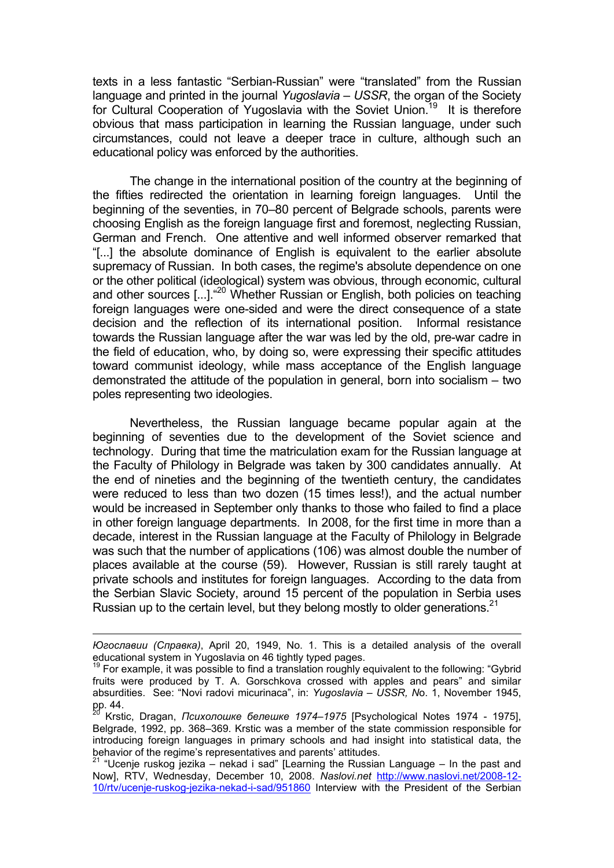texts in a less fantastic "Serbian-Russian" were "translated" from the Russian language and printed in the journal *Yugoslavia – USSR*, the organ of the Society for Cultural Cooperation of Yugoslavia with the Soviet Union.19 It is therefore obvious that mass participation in learning the Russian language, under such circumstances, could not leave a deeper trace in culture, although such an educational policy was enforced by the authorities.

The change in the international position of the country at the beginning of the fifties redirected the orientation in learning foreign languages. Until the beginning of the seventies, in 70–80 percent of Belgrade schools, parents were choosing English as the foreign language first and foremost, neglecting Russian, German and French. One attentive and well informed observer remarked that "[...] the absolute dominance of English is equivalent to the earlier absolute supremacy of Russian. In both cases, the regime's absolute dependence on one or the other political (ideological) system was obvious, through economic, cultural and other sources [...].<sup>"20</sup> Whether Russian or English, both policies on teaching foreign languages were one-sided and were the direct consequence of a state decision and the reflection of its international position. Informal resistance towards the Russian language after the war was led by the old, pre-war cadre in the field of education, who, by doing so, were expressing their specific attitudes toward communist ideology, while mass acceptance of the English language demonstrated the attitude of the population in general, born into socialism – two poles representing two ideologies.

Nevertheless, the Russian language became popular again at the beginning of seventies due to the development of the Soviet science and technology. During that time the matriculation exam for the Russian language at the Faculty of Philology in Belgrade was taken by 300 candidates annually. At the end of nineties and the beginning of the twentieth century, the candidates were reduced to less than two dozen (15 times less!), and the actual number would be increased in September only thanks to those who failed to find a place in other foreign language departments. In 2008, for the first time in more than a decade, interest in the Russian language at the Faculty of Philology in Belgrade was such that the number of applications (106) was almost double the number of places available at the course (59). However, Russian is still rarely taught at private schools and institutes for foreign languages. According to the data from the Serbian Slavic Society, around 15 percent of the population in Serbia uses Russian up to the certain level, but they belong mostly to older generations.<sup>21</sup>

*Югославии (Справка)*, April 20, 1949, No. 1. This is a detailed analysis of the overall educational system in Yugoslavia on 46 tightly typed pages.

 $19$  For example, it was possible to find a translation roughly equivalent to the following: "Gybrid" fruits were produced by T. A. Gorschkova crossed with apples and pears" and similar absurdities. See: "Novi radovi micurinaca", in: *Yugoslavia – USSR, N*o. 1, November 1945, pp. 44.

<sup>20</sup> Krstic, Dragan, *Психолошке белешке 1974–1975* [Psychological Notes 1974 - 1975], Belgrade, 1992, pp. 368–369. Krstic was a member of the state commission responsible for introducing foreign languages in primary schools and had insight into statistical data, the

behavior of the regime's representatives and parents' attitudes. 21 "Ucenje ruskog jezika – nekad i sad" [Learning the Russian Language – In the past and Now], RTV, Wednesday, December 10, 2008. *Naslovi.net* http://www.naslovi.net/2008-12- 10/rtv/ucenje-ruskog-jezika-nekad-i-sad/951860 Interview with the President of the Serbian